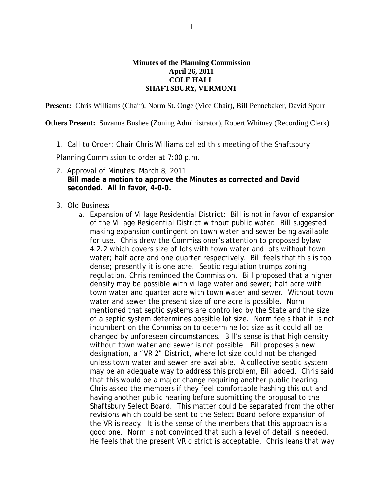## **Minutes of the Planning Commission April 26, 2011 COLE HALL SHAFTSBURY, VERMONT**

**Present:** Chris Williams (Chair), Norm St. Onge (Vice Chair), Bill Pennebaker, David Spurr

**Others Present:** Suzanne Bushee (Zoning Administrator), Robert Whitney (Recording Clerk)

1. Call to Order: Chair Chris Williams called this meeting of the Shaftsbury

Planning Commission to order at 7:00 p.m.

- 2. Approval of Minutes: March 8, 2011  **Bill made a motion to approve the Minutes as corrected and David seconded. All in favor, 4-0-0.**
- 3. Old Business
	- a. Expansion of Village Residential District: Bill is not in favor of expansion of the Village Residential District without public water. Bill suggested making expansion contingent on town water and sewer being available for use. Chris drew the Commissioner's attention to proposed bylaw 4.2.2 which covers size of lots with town water and lots without town water; half acre and one quarter respectively. Bill feels that this is too dense; presently it is one acre. Septic regulation trumps zoning regulation, Chris reminded the Commission. Bill proposed that a higher density may be possible with village water and sewer; half acre with town water and quarter acre with town water and sewer. Without town water and sewer the present size of one acre is possible. Norm mentioned that septic systems are controlled by the State and the size of a septic system determines possible lot size. Norm feels that it is not incumbent on the Commission to determine lot size as it could all be changed by unforeseen circumstances. Bill's sense is that high density without town water and sewer is not possible. Bill proposes a new designation, a "VR 2" District, where lot size could not be changed unless town water and sewer are available. A collective septic system may be an adequate way to address this problem, Bill added. Chris said that this would be a major change requiring another public hearing. Chris asked the members if they feel comfortable hashing this out and having another public hearing before submitting the proposal to the Shaftsbury Select Board. This matter could be separated from the other revisions which could be sent to the Select Board before expansion of the VR is ready. It is the sense of the members that this approach is a good one. Norm is not convinced that such a level of detail is needed. He feels that the present VR district is acceptable. Chris leans that way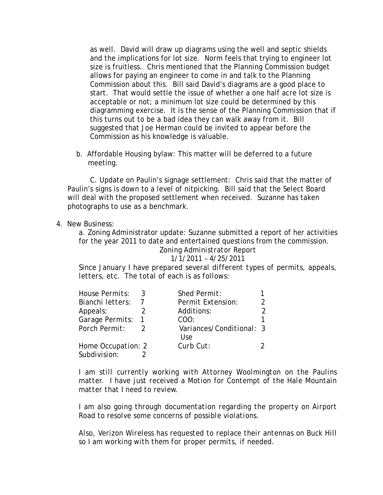as well. David will draw up diagrams using the well and septic shields and the implications for lot size. Norm feels that trying to engineer lot size is fruitless. Chris mentioned that the Planning Commission budget allows for paying an engineer to come in and talk to the Planning Commission about this. Bill said David's diagrams are a good place to start. That would settle the issue of whether a one half acre lot size is acceptable or not; a minimum lot size could be determined by this diagramming exercise. It is the sense of the Planning Commission that if this turns out to be a bad idea they can walk away from it. Bill suggested that Joe Herman could be invited to appear before the Commission as his knowledge is valuable.

 b. Affordable Housing bylaw: This matter will be deferred to a future meeting.

C. Update on Paulin's signage settlement: Chris said that the matter of Paulin's signs is down to a level of nitpicking. Bill said that the Select Board will deal with the proposed settlement when received. Suzanne has taken photographs to use as a benchmark.

4. New Business:

a. Zoning Administrator update: Suzanne submitted a report of her activities for the year 2011 to date and entertained questions from the commission.

> *Zoning Administrator Report 1/1/2011 – 4/25/2011*

*Since January I have prepared several different types of permits, appeals, letters, etc. The total of each is as follows:*

| House Permits:     | Shed Permit:                      |  |
|--------------------|-----------------------------------|--|
| Bianchi letters:   | Permit Extension:                 |  |
| Appeals:           | Additions:                        |  |
| Garage Permits:    | COO:                              |  |
| Porch Permit:      | Variances/Conditional: 3<br>I Ise |  |
| Home Occupation: 2 | Curb Cut:                         |  |
| Subdivision:       |                                   |  |

*I am still currently working with Attorney Woolmington on the Paulins matter. I have just received a Motion for Contempt of the Hale Mountain matter that I need to review.*

*I am also going through documentation regarding the property on Airport Road to resolve some concerns of possible violations.*

*Also, Verizon Wireless has requested to replace their antennas on Buck Hill so I am working with them for proper permits, if needed.*